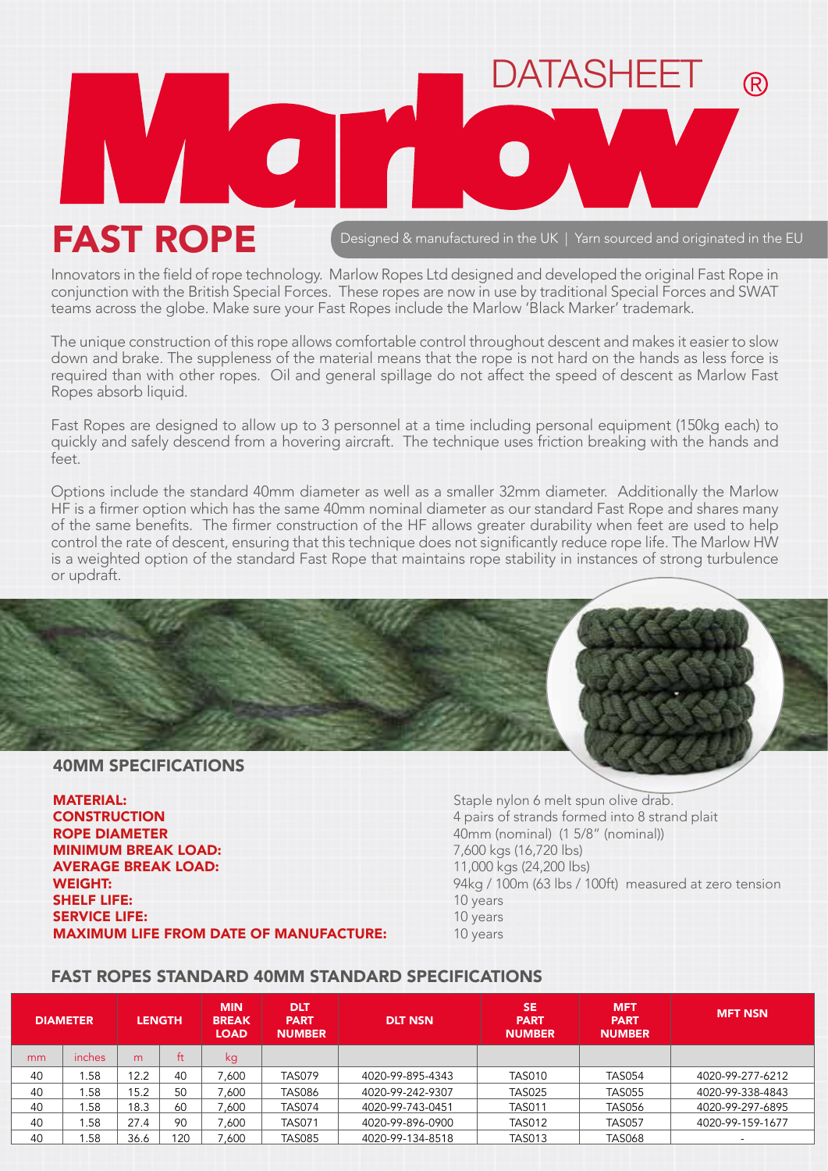

Innovators in the field of rope technology. Marlow Ropes Ltd designed and developed the original Fast Rope in conjunction with the British Special Forces. These ropes are now in use by traditional Special Forces and SWAT teams across the globe. Make sure your Fast Ropes include the Marlow 'Black Marker' trademark.

The unique construction of this rope allows comfortable control throughout descent and makes it easier to slow down and brake. The suppleness of the material means that the rope is not hard on the hands as less force is required than with other ropes. Oil and general spillage do not affect the speed of descent as Marlow Fast Ropes absorb liquid.

Fast Ropes are designed to allow up to 3 personnel at a time including personal equipment (150kg each) to quickly and safely descend from a hovering aircraft. The technique uses friction breaking with the hands and feet.

Options include the standard 40mm diameter as well as a smaller 32mm diameter. Additionally the Marlow HF is a firmer option which has the same 40mm nominal diameter as our standard Fast Rope and shares many of the same benefits. The firmer construction of the HF allows greater durability when feet are used to help control the rate of descent, ensuring that this technique does not significantly reduce rope life. The Marlow HW is a weighted option of the standard Fast Rope that maintains rope stability in instances of strong turbulence or updraft.

### 40MM SPECIFICATIONS

MATERIAL: Staple nylon 6 melt spun olive drab. **CONSTRUCTION** 4 pairs of strands formed into 8 strand plait<br> **ROPE DIAMETER** 40mm (nominal) (1 5/8" (nominal)) **MINIMUM BREAK LOAD:** 7,600 kgs (16,720 lbs) AVERAGE BREAK LOAD: 11,000 kgs (24,200 lbs) WEIGHT: 94kg / 100m (63 lbs / 100ft) measured at zero tension **SHELF LIFE:** 10 years 10 years **SERVICE LIFE:** 10 years 10 years **MAXIMUM LIFE FROM DATE OF MANUFACTURE:** 10 years

40mm (nominal) (1 5/8" (nominal))

## FAST ROPES STANDARD 40MM STANDARD SPECIFICATIONS

| <b>DIAMETER</b> |        | <b>LENGTH</b> |     | <b>MIN</b><br><b>BREAK</b><br><b>LOAD</b> | <b>DLT</b><br><b>PART</b><br><b>NUMBER</b> | <b>DLT NSN</b>   | <b>SE</b><br><b>PART</b><br><b>NUMBER</b> | <b>MFT</b><br><b>PART</b><br><b>NUMBER</b> | <b>MFT NSN</b>           |
|-----------------|--------|---------------|-----|-------------------------------------------|--------------------------------------------|------------------|-------------------------------------------|--------------------------------------------|--------------------------|
| mm              | inches | m             | ft  | kg                                        |                                            |                  |                                           |                                            |                          |
| 40              | 58ء،   | 12.2          | 40  | 7,600                                     | <b>TAS079</b>                              | 4020-99-895-4343 | <b>TAS010</b>                             | <b>TAS054</b>                              | 4020-99-277-6212         |
| 40              | 58.،   | 15.2          | 50  | 7,600                                     | <b>TAS086</b>                              | 4020-99-242-9307 | <b>TAS025</b>                             | <b>TAS055</b>                              | 4020-99-338-4843         |
| 40              | 1.58   | 18.3          | 60  | 7,600                                     | <b>TAS074</b>                              | 4020-99-743-0451 | <b>TAS011</b>                             | <b>TAS056</b>                              | 4020-99-297-6895         |
| 40              | 1.58   | 27.4          | 90  | 7,600                                     | <b>TAS071</b>                              | 4020-99-896-0900 | <b>TAS012</b>                             | <b>TAS057</b>                              | 4020-99-159-1677         |
| 40              | . .58  | 36.6          | 120 | 7.600                                     | <b>TAS085</b>                              | 4020-99-134-8518 | <b>TAS013</b>                             | <b>TAS068</b>                              | $\overline{\phantom{a}}$ |